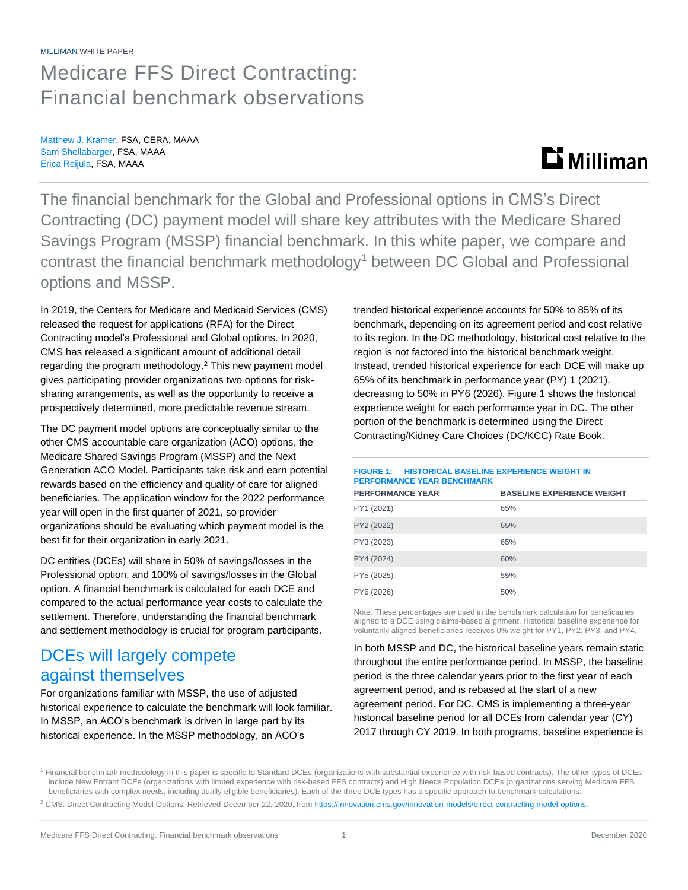#### MILLIMAN WHITE PAPER

## Medicare FFS Direct Contracting: Financial benchmark observations

Matthew J. Kramer, FSA, CERA, MAAA Sam Shellabarger, FSA, MAAA Erica Reijula, FSA, MAAA

## **Li** Milliman

The financial benchmark for the Global and Professional options in CMS's Direct Contracting (DC) payment model will share key attributes with the Medicare Shared Savings Program (MSSP) financial benchmark. In this white paper, we compare and contrast the financial benchmark methodology<sup>1</sup> between DC Global and Professional options and MSSP.

In 2019, the Centers for Medicare and Medicaid Services (CMS) released the request for applications (RFA) for the Direct Contracting model's Professional and Global options. In 2020, CMS has released a significant amount of additional detail regarding the program methodology.<sup>2</sup> This new payment model gives participating provider organizations two options for risksharing arrangements, as well as the opportunity to receive a prospectively determined, more predictable revenue stream.

The DC payment model options are conceptually similar to the other CMS accountable care organization (ACO) options, the Medicare Shared Savings Program (MSSP) and the Next Generation ACO Model. Participants take risk and earn potential rewards based on the efficiency and quality of care for aligned beneficiaries. The application window for the 2022 performance year will open in the first quarter of 2021, so provider organizations should be evaluating which payment model is the best fit for their organization in early 2021.

DC entities (DCEs) will share in 50% of savings/losses in the Professional option, and 100% of savings/losses in the Global option. A financial benchmark is calculated for each DCE and compared to the actual performance year costs to calculate the settlement. Therefore, understanding the financial benchmark and settlement methodology is crucial for program participants.

### DCEs will largely compete against themselves

For organizations familiar with MSSP, the use of adjusted historical experience to calculate the benchmark will look familiar. In MSSP, an ACO's benchmark is driven in large part by its historical experience. In the MSSP methodology, an ACO's

trended historical experience accounts for 50% to 85% of its benchmark, depending on its agreement period and cost relative to its region. In the DC methodology, historical cost relative to the region is not factored into the historical benchmark weight. Instead, trended historical experience for each DCE will make up 65% of its benchmark in performance year (PY) 1 (2021), decreasing to 50% in PY6 (2026). Figure 1 shows the historical experience weight for each performance year in DC. The other portion of the benchmark is determined using the Direct Contracting/Kidney Care Choices (DC/KCC) Rate Book.

#### **FIGURE 1: HISTORICAL BASELINE EXPERIENCE WEIGHT IN PERFORMANCE YEAR BENCHMARK**

| <b>PERFORMANCE YEAR</b> | <b>BASELINE EXPERIENCE WEIGHT</b> |
|-------------------------|-----------------------------------|
| PY1 (2021)              | 65%                               |
| PY2 (2022)              | 65%                               |
| PY3 (2023)              | 65%                               |
| PY4 (2024)              | 60%                               |
| PY5 (2025)              | 55%                               |
| PY6 (2026)              | 50%                               |

Note: These percentages are used in the benchmark calculation for beneficiaries aligned to a DCE using claims-based alignment. Historical baseline experience for voluntarily aligned beneficiaries receives 0% weight for PY1, PY2, PY3, and PY4.

In both MSSP and DC, the historical baseline years remain static throughout the entire performance period. In MSSP, the baseline period is the three calendar years prior to the first year of each agreement period, and is rebased at the start of a new agreement period. For DC, CMS is implementing a three-year historical baseline period for all DCEs from calendar year (CY) 2017 through CY 2019. In both programs, baseline experience is

<sup>1</sup> Financial benchmark methodology in this paper is specific to Standard DCEs (organizations with substantial experience with risk-based contracts). The other types of DCEs include New Entrant DCEs (organizations with limited experience with risk-based FFS contracts) and High Needs Population DCEs (organizations serving Medicare FFS beneficiaries with complex needs, including dually eligible beneficiaries). Each of the three DCE types has a specific approach to benchmark calculations.

<sup>&</sup>lt;sup>2</sup> CMS. Direct Contracting Model Options. Retrieved December 22, 2020, from [https://innovation.cms.gov/innovation-models/direct-contracting-model-options.](https://innovation.cms.gov/innovation-models/direct-contracting-model-options)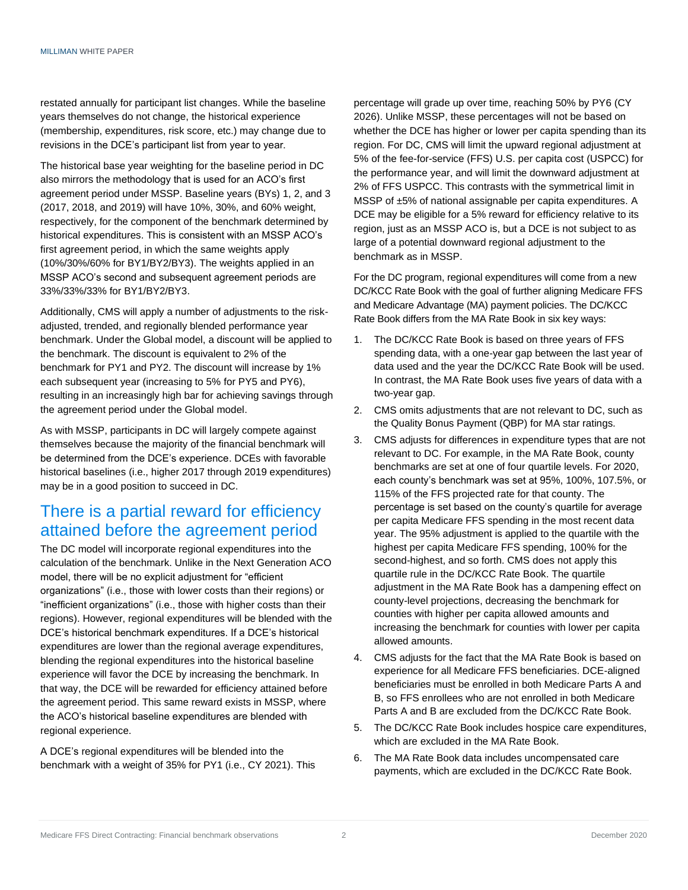restated annually for participant list changes. While the baseline years themselves do not change, the historical experience (membership, expenditures, risk score, etc.) may change due to revisions in the DCE's participant list from year to year.

The historical base year weighting for the baseline period in DC also mirrors the methodology that is used for an ACO's first agreement period under MSSP. Baseline years (BYs) 1, 2, and 3 (2017, 2018, and 2019) will have 10%, 30%, and 60% weight, respectively, for the component of the benchmark determined by historical expenditures. This is consistent with an MSSP ACO's first agreement period, in which the same weights apply (10%/30%/60% for BY1/BY2/BY3). The weights applied in an MSSP ACO's second and subsequent agreement periods are 33%/33%/33% for BY1/BY2/BY3.

Additionally, CMS will apply a number of adjustments to the riskadjusted, trended, and regionally blended performance year benchmark. Under the Global model, a discount will be applied to the benchmark. The discount is equivalent to 2% of the benchmark for PY1 and PY2. The discount will increase by 1% each subsequent year (increasing to 5% for PY5 and PY6), resulting in an increasingly high bar for achieving savings through the agreement period under the Global model.

As with MSSP, participants in DC will largely compete against themselves because the majority of the financial benchmark will be determined from the DCE's experience. DCEs with favorable historical baselines (i.e., higher 2017 through 2019 expenditures) may be in a good position to succeed in DC.

## There is a partial reward for efficiency attained before the agreement period

The DC model will incorporate regional expenditures into the calculation of the benchmark. Unlike in the Next Generation ACO model, there will be no explicit adjustment for "efficient organizations" (i.e., those with lower costs than their regions) or "inefficient organizations" (i.e., those with higher costs than their regions). However, regional expenditures will be blended with the DCE's historical benchmark expenditures. If a DCE's historical expenditures are lower than the regional average expenditures, blending the regional expenditures into the historical baseline experience will favor the DCE by increasing the benchmark. In that way, the DCE will be rewarded for efficiency attained before the agreement period. This same reward exists in MSSP, where the ACO's historical baseline expenditures are blended with regional experience.

A DCE's regional expenditures will be blended into the benchmark with a weight of 35% for PY1 (i.e., CY 2021). This percentage will grade up over time, reaching 50% by PY6 (CY 2026). Unlike MSSP, these percentages will not be based on whether the DCE has higher or lower per capita spending than its region. For DC, CMS will limit the upward regional adjustment at 5% of the fee-for-service (FFS) U.S. per capita cost (USPCC) for the performance year, and will limit the downward adjustment at 2% of FFS USPCC. This contrasts with the symmetrical limit in MSSP of ±5% of national assignable per capita expenditures. A DCE may be eligible for a 5% reward for efficiency relative to its region, just as an MSSP ACO is, but a DCE is not subject to as large of a potential downward regional adjustment to the benchmark as in MSSP.

For the DC program, regional expenditures will come from a new DC/KCC Rate Book with the goal of further aligning Medicare FFS and Medicare Advantage (MA) payment policies. The DC/KCC Rate Book differs from the MA Rate Book in six key ways:

- 1. The DC/KCC Rate Book is based on three years of FFS spending data, with a one-year gap between the last year of data used and the year the DC/KCC Rate Book will be used. In contrast, the MA Rate Book uses five years of data with a two-year gap.
- 2. CMS omits adjustments that are not relevant to DC, such as the Quality Bonus Payment (QBP) for MA star ratings.
- 3. CMS adjusts for differences in expenditure types that are not relevant to DC. For example, in the MA Rate Book, county benchmarks are set at one of four quartile levels. For 2020, each county's benchmark was set at 95%, 100%, 107.5%, or 115% of the FFS projected rate for that county. The percentage is set based on the county's quartile for average per capita Medicare FFS spending in the most recent data year. The 95% adjustment is applied to the quartile with the highest per capita Medicare FFS spending, 100% for the second-highest, and so forth. CMS does not apply this quartile rule in the DC/KCC Rate Book. The quartile adjustment in the MA Rate Book has a dampening effect on county-level projections, decreasing the benchmark for counties with higher per capita allowed amounts and increasing the benchmark for counties with lower per capita allowed amounts.
- 4. CMS adjusts for the fact that the MA Rate Book is based on experience for all Medicare FFS beneficiaries. DCE-aligned beneficiaries must be enrolled in both Medicare Parts A and B, so FFS enrollees who are not enrolled in both Medicare Parts A and B are excluded from the DC/KCC Rate Book.
- 5. The DC/KCC Rate Book includes hospice care expenditures, which are excluded in the MA Rate Book.
- 6. The MA Rate Book data includes uncompensated care payments, which are excluded in the DC/KCC Rate Book.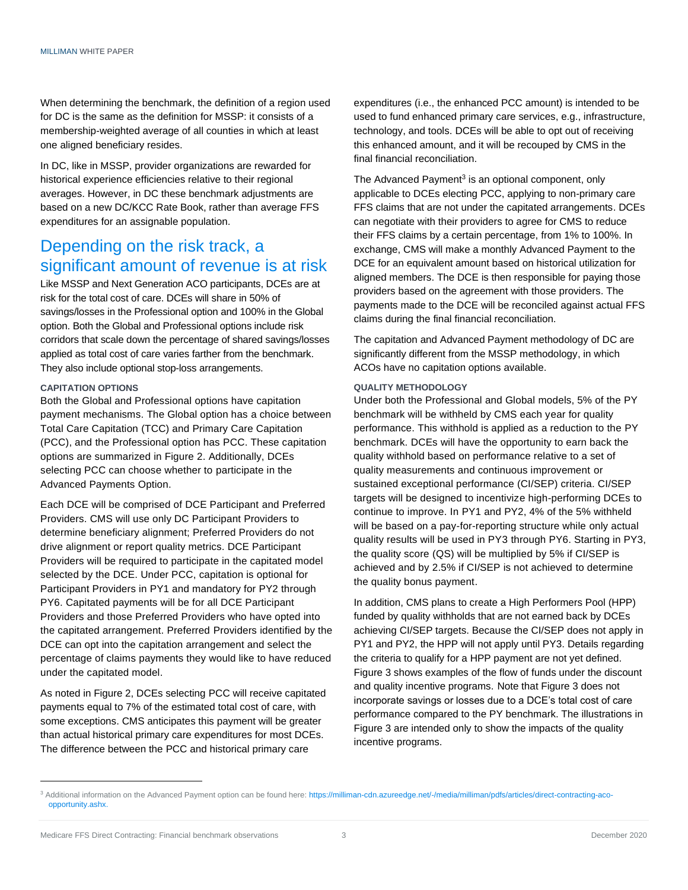When determining the benchmark, the definition of a region used for DC is the same as the definition for MSSP: it consists of a membership-weighted average of all counties in which at least one aligned beneficiary resides.

In DC, like in MSSP, provider organizations are rewarded for historical experience efficiencies relative to their regional averages. However, in DC these benchmark adjustments are based on a new DC/KCC Rate Book, rather than average FFS expenditures for an assignable population.

### Depending on the risk track, a significant amount of revenue is at risk

Like MSSP and Next Generation ACO participants, DCEs are at risk for the total cost of care. DCEs will share in 50% of savings/losses in the Professional option and 100% in the Global option. Both the Global and Professional options include risk corridors that scale down the percentage of shared savings/losses applied as total cost of care varies farther from the benchmark. They also include optional stop-loss arrangements.

#### **CAPITATION OPTIONS**

Both the Global and Professional options have capitation payment mechanisms. The Global option has a choice between Total Care Capitation (TCC) and Primary Care Capitation (PCC), and the Professional option has PCC. These capitation options are summarized in Figure 2. Additionally, DCEs selecting PCC can choose whether to participate in the Advanced Payments Option.

Each DCE will be comprised of DCE Participant and Preferred Providers. CMS will use only DC Participant Providers to determine beneficiary alignment; Preferred Providers do not drive alignment or report quality metrics. DCE Participant Providers will be required to participate in the capitated model selected by the DCE. Under PCC, capitation is optional for Participant Providers in PY1 and mandatory for PY2 through PY6. Capitated payments will be for all DCE Participant Providers and those Preferred Providers who have opted into the capitated arrangement. Preferred Providers identified by the DCE can opt into the capitation arrangement and select the percentage of claims payments they would like to have reduced under the capitated model.

As noted in Figure 2, DCEs selecting PCC will receive capitated payments equal to 7% of the estimated total cost of care, with some exceptions. CMS anticipates this payment will be greater than actual historical primary care expenditures for most DCEs. The difference between the PCC and historical primary care

expenditures (i.e., the enhanced PCC amount) is intended to be used to fund enhanced primary care services, e.g., infrastructure, technology, and tools. DCEs will be able to opt out of receiving this enhanced amount, and it will be recouped by CMS in the final financial reconciliation.

The Advanced Payment<sup>3</sup> is an optional component, only applicable to DCEs electing PCC, applying to non-primary care FFS claims that are not under the capitated arrangements. DCEs can negotiate with their providers to agree for CMS to reduce their FFS claims by a certain percentage, from 1% to 100%. In exchange, CMS will make a monthly Advanced Payment to the DCE for an equivalent amount based on historical utilization for aligned members. The DCE is then responsible for paying those providers based on the agreement with those providers. The payments made to the DCE will be reconciled against actual FFS claims during the final financial reconciliation.

The capitation and Advanced Payment methodology of DC are significantly different from the MSSP methodology, in which ACOs have no capitation options available.

#### **QUALITY METHODOLOGY**

Under both the Professional and Global models, 5% of the PY benchmark will be withheld by CMS each year for quality performance. This withhold is applied as a reduction to the PY benchmark. DCEs will have the opportunity to earn back the quality withhold based on performance relative to a set of quality measurements and continuous improvement or sustained exceptional performance (CI/SEP) criteria. CI/SEP targets will be designed to incentivize high-performing DCEs to continue to improve. In PY1 and PY2, 4% of the 5% withheld will be based on a pay-for-reporting structure while only actual quality results will be used in PY3 through PY6. Starting in PY3, the quality score (QS) will be multiplied by 5% if CI/SEP is achieved and by 2.5% if CI/SEP is not achieved to determine the quality bonus payment.

In addition, CMS plans to create a High Performers Pool (HPP) funded by quality withholds that are not earned back by DCEs achieving CI/SEP targets. Because the CI/SEP does not apply in PY1 and PY2, the HPP will not apply until PY3. Details regarding the criteria to qualify for a HPP payment are not yet defined. Figure 3 shows examples of the flow of funds under the discount and quality incentive programs. Note that Figure 3 does not incorporate savings or losses due to a DCE's total cost of care performance compared to the PY benchmark. The illustrations in Figure 3 are intended only to show the impacts of the quality incentive programs.

<sup>&</sup>lt;sup>3</sup> Additional information on the Advanced Payment option can be found here[: https://milliman-cdn.azureedge.net/-/media/milliman/pdfs/articles/direct-contracting-aco](https://milliman-cdn.azureedge.net/-/media/milliman/pdfs/articles/direct-contracting-aco-opportunity.ashx)[opportunity.ashx.](https://milliman-cdn.azureedge.net/-/media/milliman/pdfs/articles/direct-contracting-aco-opportunity.ashx)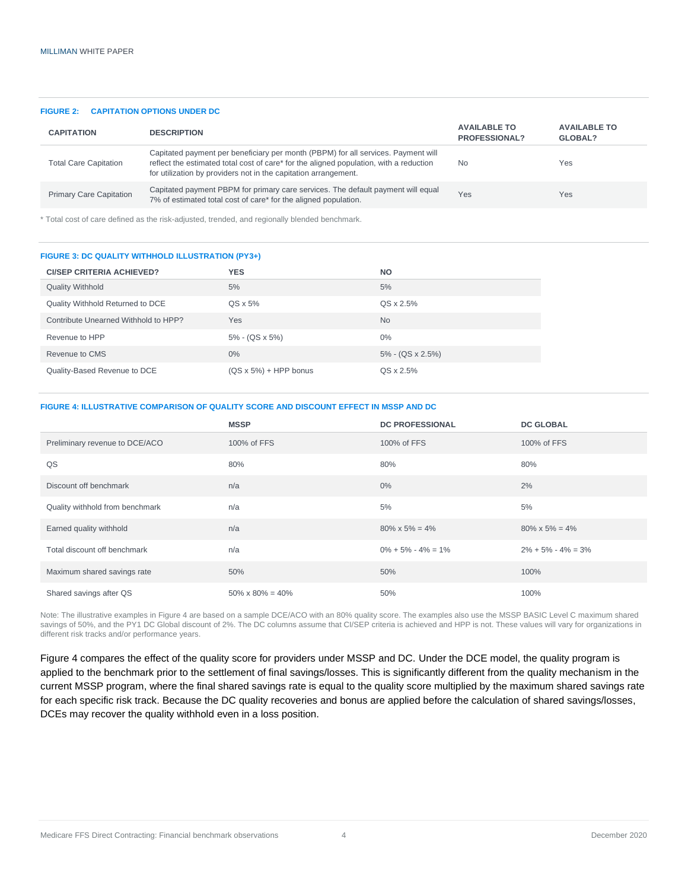#### **FIGURE 2: CAPITATION OPTIONS UNDER DC**

| <b>CAPITATION</b>              | <b>DESCRIPTION</b>                                                                                                                                                                                                                             | <b>AVAILABLE TO</b><br><b>PROFESSIONAL?</b> | <b>AVAILABLE TO</b><br>GLOBAL? |
|--------------------------------|------------------------------------------------------------------------------------------------------------------------------------------------------------------------------------------------------------------------------------------------|---------------------------------------------|--------------------------------|
| <b>Total Care Capitation</b>   | Capitated payment per beneficiary per month (PBPM) for all services. Payment will<br>reflect the estimated total cost of care* for the aligned population, with a reduction<br>for utilization by providers not in the capitation arrangement. | <b>No</b>                                   | Yes                            |
| <b>Primary Care Capitation</b> | Capitated payment PBPM for primary care services. The default payment will equal<br>7% of estimated total cost of care* for the aligned population.                                                                                            | Yes                                         | Yes                            |

\* Total cost of care defined as the risk-adjusted, trended, and regionally blended benchmark.

#### **FIGURE 3: DC QUALITY WITHHOLD ILLUSTRATION (PY3+)**

| <b>CI/SEP CRITERIA ACHIEVED?</b>     | <b>YES</b>                    | <b>NO</b>           |  |
|--------------------------------------|-------------------------------|---------------------|--|
| <b>Quality Withhold</b>              | 5%                            | 5%                  |  |
| Quality Withhold Returned to DCE     | $QS \times 5\%$               | QS x 2.5%           |  |
| Contribute Unearned Withhold to HPP? | Yes                           | <b>No</b>           |  |
| Revenue to HPP                       | $5\% - (QS \times 5\%)$       | $0\%$               |  |
| Revenue to CMS                       | $0\%$                         | $5\%$ - (QS x 2.5%) |  |
| Quality-Based Revenue to DCE         | $(QS \times 5\%)$ + HPP bonus | QS x 2.5%           |  |
|                                      |                               |                     |  |

#### **FIGURE 4: ILLUSTRATIVE COMPARISON OF QUALITY SCORE AND DISCOUNT EFFECT IN MSSP AND DC**

|                                 | <b>MSSP</b>               | <b>DC PROFESSIONAL</b>  | <b>DC GLOBAL</b>        |
|---------------------------------|---------------------------|-------------------------|-------------------------|
| Preliminary revenue to DCE/ACO  | 100% of FFS               | 100% of FFS             | 100% of FFS             |
| QS                              | 80%                       | 80%                     | 80%                     |
| Discount off benchmark          | n/a                       | $0\%$                   | 2%                      |
| Quality withhold from benchmark | n/a                       | 5%                      | 5%                      |
| Earned quality withhold         | n/a                       | $80\% \times 5\% = 4\%$ | $80\% \times 5\% = 4\%$ |
| Total discount off benchmark    | n/a                       | $0\% + 5\% - 4\% = 1\%$ | $2\% + 5\% - 4\% = 3\%$ |
| Maximum shared savings rate     | 50%                       | 50%                     | 100%                    |
| Shared savings after QS         | $50\% \times 80\% = 40\%$ | 50%                     | 100%                    |

Note: The illustrative examples in Figure 4 are based on a sample DCE/ACO with an 80% quality score. The examples also use the MSSP BASIC Level C maximum shared savings of 50%, and the PY1 DC Global discount of 2%. The DC columns assume that CI/SEP criteria is achieved and HPP is not. These values will vary for organizations in different risk tracks and/or performance years.

Figure 4 compares the effect of the quality score for providers under MSSP and DC. Under the DCE model, the quality program is applied to the benchmark prior to the settlement of final savings/losses. This is significantly different from the quality mechanism in the current MSSP program, where the final shared savings rate is equal to the quality score multiplied by the maximum shared savings rate for each specific risk track. Because the DC quality recoveries and bonus are applied before the calculation of shared savings/losses, DCEs may recover the quality withhold even in a loss position.